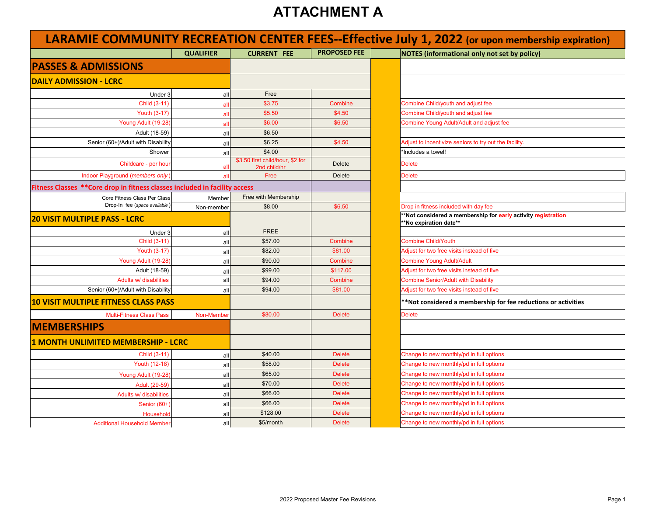| LARAMIE COMMUNITY RECREATION CENTER FEES--Effective July 1, 2022 (or upon membership expiration) |                  |                                                  |                     |                                                                                        |  |  |
|--------------------------------------------------------------------------------------------------|------------------|--------------------------------------------------|---------------------|----------------------------------------------------------------------------------------|--|--|
|                                                                                                  | <b>QUALIFIER</b> | <b>CURRENT FEE</b>                               | <b>PROPOSED FEE</b> | <b>NOTES (informational only not set by policy)</b>                                    |  |  |
| <b>PASSES &amp; ADMISSIONS</b>                                                                   |                  |                                                  |                     |                                                                                        |  |  |
| <b>DAILY ADMISSION - LCRC</b>                                                                    |                  |                                                  |                     |                                                                                        |  |  |
| Under 3                                                                                          | all              | Free                                             |                     |                                                                                        |  |  |
| Child (3-11)                                                                                     | all              | \$3.75                                           | Combine             | Combine Child/youth and adjust fee                                                     |  |  |
| <b>Youth (3-17)</b>                                                                              | all              | \$5.50                                           | \$4.50              | Combine Child/youth and adjust fee                                                     |  |  |
| Young Adult (19-28)                                                                              | all              | \$6.00                                           | \$6.50              | Combine Young Adult/Adult and adjust fee                                               |  |  |
| Adult (18-59)                                                                                    | all              | \$6.50                                           |                     |                                                                                        |  |  |
| Senior (60+)/Adult with Disability                                                               | all              | \$6.25                                           | \$4.50              | Adjust to incentivize seniors to try out the facility.                                 |  |  |
| Shower                                                                                           | all              | \$4.00                                           |                     | 'Includes a towel!                                                                     |  |  |
| Childcare - per hour                                                                             | al               | \$3.50 first child/hour, \$2 for<br>2nd child/hr | <b>Delete</b>       | <b>Delete</b>                                                                          |  |  |
| Indoor Playground (members only)                                                                 | -al              | Free                                             | <b>Delete</b>       | <b>Delete</b>                                                                          |  |  |
| Fitness Classes ** Core drop in fitness classes included in facility access                      |                  |                                                  |                     |                                                                                        |  |  |
| Core Fitness Class Per Class                                                                     | Member           | Free with Membership                             |                     |                                                                                        |  |  |
| Drop-In fee (space available)                                                                    | Non-member       | \$8.00                                           | \$6.50              | Drop in fitness included with day fee                                                  |  |  |
| <u> 120 VISIT MULTIPLE PASS - LCRC</u>                                                           |                  |                                                  |                     | *Not considered a membership for early activity registration<br>**No expiration date** |  |  |
| Under 3                                                                                          | all              | <b>FREE</b>                                      |                     |                                                                                        |  |  |
| Child (3-11)                                                                                     | all              | \$57.00                                          | Combine             | <b>Combine Child/Youth</b>                                                             |  |  |
| Youth (3-17)                                                                                     | all              | \$82.00                                          | \$81.00             | Adjust for two free visits instead of five                                             |  |  |
| Young Adult (19-28)                                                                              | all              | \$90.00                                          | Combine             | <b>Combine Young Adult/Adult</b>                                                       |  |  |
| Adult (18-59)                                                                                    | all              | \$99.00                                          | \$117.00            | Adjust for two free visits instead of five                                             |  |  |
| Adults w/ disabilities                                                                           | all              | \$94.00                                          | Combine             | <b>Combine Senior/Adult with Disability</b>                                            |  |  |
| Senior (60+)/Adult with Disability                                                               | all              | \$94.00                                          | \$81.00             | Adjust for two free visits instead of five                                             |  |  |
| <b>10 VISIT MULTIPLE FITNESS CLASS PASS</b>                                                      |                  |                                                  |                     | **Not considered a membership for fee reductions or activities                         |  |  |
| <b>Multi-Fitness Class Pass</b>                                                                  | Non-Membe        | \$80.00                                          | <b>Delete</b>       | <b>Delete</b>                                                                          |  |  |
| <b>MEMBERSHIPS</b>                                                                               |                  |                                                  |                     |                                                                                        |  |  |
| 1 MONTH UNLIMITED MEMBERSHIP - LCRC                                                              |                  |                                                  |                     |                                                                                        |  |  |
| Child (3-11)                                                                                     | all              | \$40.00                                          | <b>Delete</b>       | Change to new monthly/pd in full options                                               |  |  |
| Youth (12-18)                                                                                    | all              | \$58.00                                          | <b>Delete</b>       | Change to new monthly/pd in full options                                               |  |  |
| Young Adult (19-28)                                                                              | all              | \$65.00                                          | <b>Delete</b>       | Change to new monthly/pd in full options                                               |  |  |
| Adult (29-59)                                                                                    | all              | \$70.00                                          | <b>Delete</b>       | Change to new monthly/pd in full options                                               |  |  |
| Adults w/ disabilities                                                                           | all              | \$66.00                                          | <b>Delete</b>       | Change to new monthly/pd in full options                                               |  |  |
| Senior (60+)                                                                                     | all              | \$66.00                                          | <b>Delete</b>       | Change to new monthly/pd in full options                                               |  |  |
| Household                                                                                        | all              | \$128.00                                         | <b>Delete</b>       | Change to new monthly/pd in full options                                               |  |  |
| <b>Additional Household Member</b>                                                               | all              | \$5/month                                        | <b>Delete</b>       | Change to new monthly/pd in full options                                               |  |  |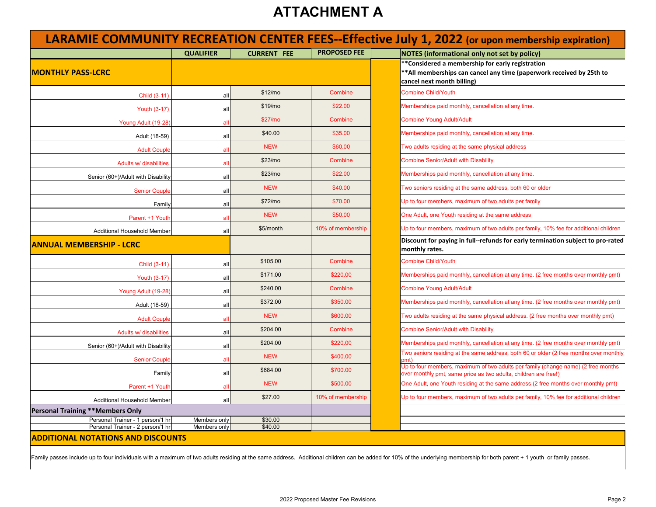|                                         | <b>QUALIFIER</b> | <b>CURRENT FEE</b>  | <b>PROPOSED FEE</b> | <b>NOTES (informational only not set by policy)</b>                                                                                                     |
|-----------------------------------------|------------------|---------------------|---------------------|---------------------------------------------------------------------------------------------------------------------------------------------------------|
| <b>IMONTHLY PASS-LCRC</b>               |                  |                     |                     | **Considered a membership for early registration<br>** All memberships can cancel any time (paperwork received by 25th to<br>cancel next month billing) |
| Child (3-11)                            | all              | \$12/m <sub>o</sub> | Combine             | <b>Combine Child/Youth</b>                                                                                                                              |
| Youth (3-17)                            | all              | \$19/m <sub>o</sub> | \$22.00             | Memberships paid monthly, cancellation at any time.                                                                                                     |
| Young Adult (19-28)                     | al               | \$27/m <sub>o</sub> | Combine             | <b>Combine Young Adult/Adult</b>                                                                                                                        |
| Adult (18-59)                           | all              | \$40.00             | \$35.00             | Memberships paid monthly, cancellation at any time.                                                                                                     |
| <b>Adult Couple</b>                     | al               | <b>NEW</b>          | \$60.00             | Two adults residing at the same physical address                                                                                                        |
| Adults w/ disabilities                  | all              | \$23/m <sub>o</sub> | Combine             | <b>Combine Senior/Adult with Disability</b>                                                                                                             |
| Senior (60+)/Adult with Disability      | all              | \$23/m <sub>o</sub> | \$22.00             | Memberships paid monthly, cancellation at any time.                                                                                                     |
| <b>Senior Couple</b>                    | all              | <b>NEW</b>          | \$40.00             | Two seniors residing at the same address, both 60 or older                                                                                              |
| Family                                  | all              | \$72/m <sub>o</sub> | \$70.00             | Up to four members, maximum of two adults per family                                                                                                    |
| Parent +1 Youth                         | a                | <b>NEW</b>          | \$50.00             | One Adult, one Youth residing at the same address                                                                                                       |
| Additional Household Member             | all              | \$5/month           | 10% of membership   | Up to four members, maximum of two adults per family, 10% fee for additional children                                                                   |
| <b>ANNUAL MEMBERSHIP - LCRC</b>         |                  |                     |                     | Discount for paying in full--refunds for early termination subject to pro-rated<br>monthly rates.                                                       |
| Child (3-11)                            | all              | \$105.00            | Combine             | <b>Combine Child/Youth</b>                                                                                                                              |
| Youth (3-17)                            | all              | \$171.00            | \$220.00            | Memberships paid monthly, cancellation at any time. (2 free months over monthly pmt)                                                                    |
| Young Adult (19-28)                     | all              | \$240.00            | Combine             | <b>Combine Young Adult/Adult</b>                                                                                                                        |
| Adult (18-59)                           | all              | \$372.00            | \$350.00            | Memberships paid monthly, cancellation at any time. (2 free months over monthly pmt)                                                                    |
| <b>Adult Couple</b>                     | al               | <b>NEW</b>          | \$600.00            | Two adults residing at the same physical address. (2 free months over monthly pmt)                                                                      |
| Adults w/ disabilities                  | all              | \$204.00            | Combine             | <b>Combine Senior/Adult with Disability</b>                                                                                                             |
| Senior (60+)/Adult with Disability      | all              | \$204.00            | \$220.00            | Memberships paid monthly, cancellation at any time. (2 free months over monthly pmt)                                                                    |
| <b>Senior Couple</b>                    | al               | <b>NEW</b>          | \$400.00            | Two seniors residing at the same address, both 60 or older (2 free months over monthly                                                                  |
| Family                                  | all              | \$684.00            | \$700.00            | Jp to four members, maximum of two adults per family (change name) (2 free months<br>over monthly pmt, same price as two adults, children are free!)    |
| Parent +1 Youth                         | al               | <b>NEW</b>          | \$500.00            | One Adult, one Youth residing at the same address (2 free months over monthly pmt)                                                                      |
| Additional Household Member             | all              | \$27.00             | 10% of membership   | Up to four members, maximum of two adults per family, 10% fee for additional children                                                                   |
| <b>Personal Training **Members Only</b> |                  |                     |                     |                                                                                                                                                         |
| Personal Trainer - 1 person/1 hr        | Members only     | \$30.00             |                     |                                                                                                                                                         |
| Personal Trainer - 2 person/1 hr        | Members only     | \$40.00             |                     |                                                                                                                                                         |

Family passes include up to four individuals with a maximum of two adults residing at the same address. Additional children can be added for 10% of the underlying membership for both parent + 1 youth or family passes.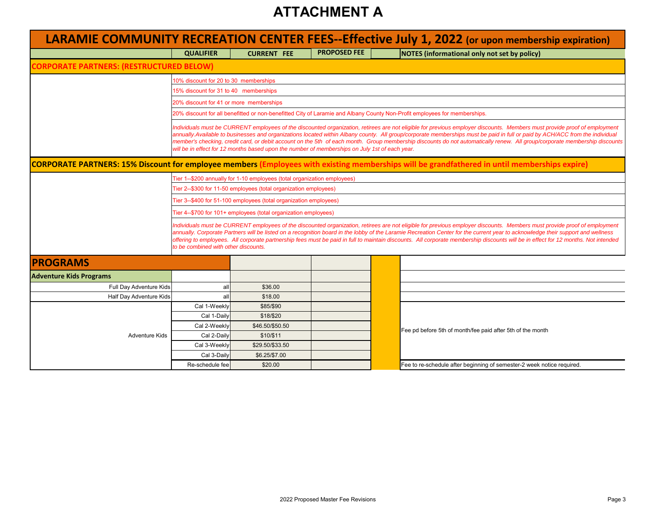|                                                 |                                                                                                                                                                                                                                                                                                                                                                                                                                                                                                                                                                                                                                                                                                                                                                                                   |                                                                          |                     | <b>LARAMIE COMMUNITY RECREATION CENTER FEES--Effective July 1, 2022 (or upon membership expiration)</b>                   |  |  |  |  |  |
|-------------------------------------------------|---------------------------------------------------------------------------------------------------------------------------------------------------------------------------------------------------------------------------------------------------------------------------------------------------------------------------------------------------------------------------------------------------------------------------------------------------------------------------------------------------------------------------------------------------------------------------------------------------------------------------------------------------------------------------------------------------------------------------------------------------------------------------------------------------|--------------------------------------------------------------------------|---------------------|---------------------------------------------------------------------------------------------------------------------------|--|--|--|--|--|
|                                                 | <b>QUALIFIER</b>                                                                                                                                                                                                                                                                                                                                                                                                                                                                                                                                                                                                                                                                                                                                                                                  | <b>CURRENT FEE</b>                                                       | <b>PROPOSED FEE</b> | NOTES (informational only not set by policy)                                                                              |  |  |  |  |  |
| <b>CORPORATE PARTNERS: (RESTRUCTURED BELOW)</b> |                                                                                                                                                                                                                                                                                                                                                                                                                                                                                                                                                                                                                                                                                                                                                                                                   |                                                                          |                     |                                                                                                                           |  |  |  |  |  |
|                                                 |                                                                                                                                                                                                                                                                                                                                                                                                                                                                                                                                                                                                                                                                                                                                                                                                   | 10% discount for 20 to 30 memberships                                    |                     |                                                                                                                           |  |  |  |  |  |
|                                                 | 15% discount for 31 to 40 memberships                                                                                                                                                                                                                                                                                                                                                                                                                                                                                                                                                                                                                                                                                                                                                             |                                                                          |                     |                                                                                                                           |  |  |  |  |  |
|                                                 | 20% discount for 41 or more memberships                                                                                                                                                                                                                                                                                                                                                                                                                                                                                                                                                                                                                                                                                                                                                           |                                                                          |                     |                                                                                                                           |  |  |  |  |  |
|                                                 |                                                                                                                                                                                                                                                                                                                                                                                                                                                                                                                                                                                                                                                                                                                                                                                                   |                                                                          |                     | 20% discount for all benefitted or non-benefitted City of Laramie and Albany County Non-Profit employees for memberships. |  |  |  |  |  |
|                                                 | Individuals must be CURRENT employees of the discounted organization, retirees are not eligible for previous employer discounts. Members must provide proof of employment<br>annually.Available to businesses and organizations located within Albany county. All group/corporate memberships must be paid in full or paid by ACH/ACC from the individual<br>member's checking, credit card, or debit account on the 5th of each month. Group membership discounts do not automatically renew. All group/corporate membership discounts<br>will be in effect for 12 months based upon the number of memberships on July 1st of each year.<br><b>CORPORATE PARTNERS: 15% Discount for employee members (Employees with existing memberships will be grandfathered in until memberships expire)</b> |                                                                          |                     |                                                                                                                           |  |  |  |  |  |
|                                                 |                                                                                                                                                                                                                                                                                                                                                                                                                                                                                                                                                                                                                                                                                                                                                                                                   | Tier 1--\$200 annually for 1-10 employees (total organization employees) |                     |                                                                                                                           |  |  |  |  |  |
|                                                 |                                                                                                                                                                                                                                                                                                                                                                                                                                                                                                                                                                                                                                                                                                                                                                                                   | Tier 2--\$300 for 11-50 employees (total organization employees)         |                     |                                                                                                                           |  |  |  |  |  |
|                                                 |                                                                                                                                                                                                                                                                                                                                                                                                                                                                                                                                                                                                                                                                                                                                                                                                   | Tier 3--\$400 for 51-100 employees (total organization employees)        |                     |                                                                                                                           |  |  |  |  |  |
|                                                 |                                                                                                                                                                                                                                                                                                                                                                                                                                                                                                                                                                                                                                                                                                                                                                                                   | Tier 4--\$700 for 101+ employees (total organization employees)          |                     |                                                                                                                           |  |  |  |  |  |
|                                                 | Individuals must be CURRENT employees of the discounted organization, retirees are not eligible for previous employer discounts. Members must provide proof of employment<br>annually. Corporate Partners will be listed on a recognition board in the lobby of the Laramie Recreation Center for the current year to acknowledge their support and wellness<br>offering to employees. All corporate partnership fees must be paid in full to maintain discounts. All corporate membership discounts will be in effect for 12 months. Not intended<br>to be combined with other discounts.                                                                                                                                                                                                        |                                                                          |                     |                                                                                                                           |  |  |  |  |  |
| <b>PROGRAMS</b>                                 |                                                                                                                                                                                                                                                                                                                                                                                                                                                                                                                                                                                                                                                                                                                                                                                                   |                                                                          |                     |                                                                                                                           |  |  |  |  |  |
| <b>Adventure Kids Programs</b>                  |                                                                                                                                                                                                                                                                                                                                                                                                                                                                                                                                                                                                                                                                                                                                                                                                   |                                                                          |                     |                                                                                                                           |  |  |  |  |  |
| Full Day Adventure Kids                         | all                                                                                                                                                                                                                                                                                                                                                                                                                                                                                                                                                                                                                                                                                                                                                                                               | \$36.00                                                                  |                     |                                                                                                                           |  |  |  |  |  |
| Half Day Adventure Kids                         | all                                                                                                                                                                                                                                                                                                                                                                                                                                                                                                                                                                                                                                                                                                                                                                                               | \$18.00                                                                  |                     |                                                                                                                           |  |  |  |  |  |
|                                                 | Cal 1-Weekly                                                                                                                                                                                                                                                                                                                                                                                                                                                                                                                                                                                                                                                                                                                                                                                      | \$85/\$90                                                                |                     |                                                                                                                           |  |  |  |  |  |
|                                                 | Cal 1-Daily                                                                                                                                                                                                                                                                                                                                                                                                                                                                                                                                                                                                                                                                                                                                                                                       | \$18/\$20                                                                |                     |                                                                                                                           |  |  |  |  |  |
|                                                 | Cal 2-Weekly                                                                                                                                                                                                                                                                                                                                                                                                                                                                                                                                                                                                                                                                                                                                                                                      | \$46.50/\$50.50                                                          |                     | Fee pd before 5th of month/fee paid after 5th of the month                                                                |  |  |  |  |  |
| <b>Adventure Kids</b>                           | Cal 2-Daily                                                                                                                                                                                                                                                                                                                                                                                                                                                                                                                                                                                                                                                                                                                                                                                       | \$10/\$11                                                                |                     |                                                                                                                           |  |  |  |  |  |
|                                                 | Cal 3-Weekly                                                                                                                                                                                                                                                                                                                                                                                                                                                                                                                                                                                                                                                                                                                                                                                      | \$29.50/\$33.50                                                          |                     |                                                                                                                           |  |  |  |  |  |
|                                                 | Cal 3-Daily                                                                                                                                                                                                                                                                                                                                                                                                                                                                                                                                                                                                                                                                                                                                                                                       | \$6.25/\$7.00                                                            |                     |                                                                                                                           |  |  |  |  |  |
|                                                 | Re-schedule fee                                                                                                                                                                                                                                                                                                                                                                                                                                                                                                                                                                                                                                                                                                                                                                                   | \$20.00                                                                  |                     | Fee to re-schedule after beginning of semester-2 week notice required.                                                    |  |  |  |  |  |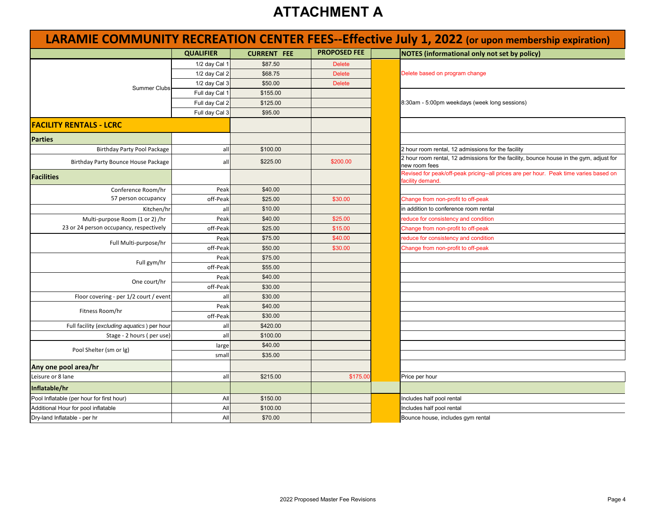| LARAMIE COMMUNITY RECREATION CENTER FEES--Effective July 1, 2022 (or upon membership expiration) |                  |                    |                     |  |                                                                                                          |  |
|--------------------------------------------------------------------------------------------------|------------------|--------------------|---------------------|--|----------------------------------------------------------------------------------------------------------|--|
|                                                                                                  | <b>QUALIFIER</b> | <b>CURRENT FEE</b> | <b>PROPOSED FEE</b> |  | <b>NOTES (informational only not set by policy)</b>                                                      |  |
|                                                                                                  | 1/2 day Cal 1    | \$87.50            | <b>Delete</b>       |  |                                                                                                          |  |
|                                                                                                  | 1/2 day Cal 2    | \$68.75            | <b>Delete</b>       |  | Delete based on program change                                                                           |  |
| <b>Summer Clubs</b>                                                                              | 1/2 day Cal 3    | \$50.00            | <b>Delete</b>       |  |                                                                                                          |  |
|                                                                                                  | Full day Cal 1   | \$155.00           |                     |  |                                                                                                          |  |
|                                                                                                  | Full day Cal 2   | \$125.00           |                     |  | 8:30am - 5:00pm weekdays (week long sessions)                                                            |  |
|                                                                                                  | Full day Cal 3   | \$95.00            |                     |  |                                                                                                          |  |
| <b>FACILITY RENTALS - LCRC</b>                                                                   |                  |                    |                     |  |                                                                                                          |  |
| <b>Parties</b>                                                                                   |                  |                    |                     |  |                                                                                                          |  |
| Birthday Party Pool Package                                                                      | all              | \$100.00           |                     |  | 2 hour room rental, 12 admissions for the facility                                                       |  |
| Birthday Party Bounce House Package                                                              | all              | \$225.00           | \$200.00            |  | 2 hour room rental, 12 admissions for the facility, bounce house in the gym, adjust for<br>new room fees |  |
| <b>Facilities</b>                                                                                |                  |                    |                     |  | Revised for peak/off-peak pricing--all prices are per hour. Peak time varies based on<br>acility demand. |  |
| Conference Room/hr                                                                               | Peak             | \$40.00            |                     |  |                                                                                                          |  |
| 57 person occupancy                                                                              | off-Peak         | \$25.00            | \$30.00             |  | Change from non-profit to off-peak                                                                       |  |
| Kitchen/hr                                                                                       | all              | \$10.00            |                     |  | n addition to conference room rental                                                                     |  |
| Multi-purpose Room (1 or 2) /hr                                                                  | Peak             | \$40.00            | \$25.00             |  | educe for consistency and condition                                                                      |  |
| 23 or 24 person occupancy, respectively                                                          | off-Peak         | \$25.00            | \$15.00             |  | Change from non-profit to off-peak                                                                       |  |
| Full Multi-purpose/hr                                                                            | Peak             | \$75.00            | \$40.00             |  | educe for consistency and condition                                                                      |  |
|                                                                                                  | off-Peak         | \$50.00            | \$30.00             |  | Change from non-profit to off-peak                                                                       |  |
| Full gym/hr                                                                                      | Peak             | \$75.00            |                     |  |                                                                                                          |  |
|                                                                                                  | off-Peak         | \$55.00            |                     |  |                                                                                                          |  |
| One court/hr                                                                                     | Peak             | \$40.00            |                     |  |                                                                                                          |  |
|                                                                                                  | off-Peak         | \$30.00            |                     |  |                                                                                                          |  |
| Floor covering - per 1/2 court / event                                                           | all              | \$30.00            |                     |  |                                                                                                          |  |
| Fitness Room/hr                                                                                  | Peak             | \$40.00            |                     |  |                                                                                                          |  |
|                                                                                                  | off-Peak         | \$30.00            |                     |  |                                                                                                          |  |
| Full facility (excluding aquatics) per hour                                                      | all              | \$420.00           |                     |  |                                                                                                          |  |
| Stage - 2 hours (per use)                                                                        | all              | \$100.00           |                     |  |                                                                                                          |  |
| Pool Shelter (sm or lg)                                                                          | large            | \$40.00            |                     |  |                                                                                                          |  |
|                                                                                                  | smal             | \$35.00            |                     |  |                                                                                                          |  |
| Any one pool area/hr                                                                             |                  |                    |                     |  |                                                                                                          |  |
| Leisure or 8 lane                                                                                | all              | \$215.00           | \$175.00            |  | Price per hour                                                                                           |  |
| Inflatable/hr                                                                                    |                  |                    |                     |  |                                                                                                          |  |
| Pool Inflatable (per hour for first hour)                                                        | All              | \$150.00           |                     |  | Includes half pool rental                                                                                |  |
| Additional Hour for pool inflatable                                                              | All              | \$100.00           |                     |  | ncludes half pool rental                                                                                 |  |
| Dry-land Inflatable - per hr                                                                     | All              | \$70.00            |                     |  | Bounce house, includes gym rental                                                                        |  |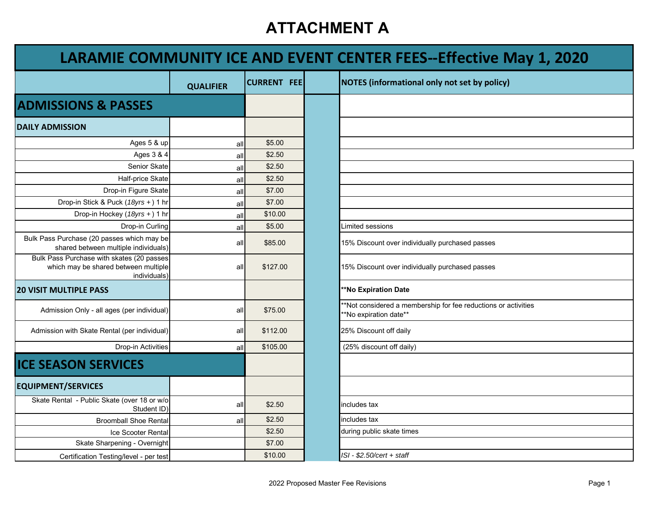| LARAMIE COMMUNITY ICE AND EVENT CENTER FEES--Effective May 1, 2020                                |                  |                    |                                                                                          |  |  |  |
|---------------------------------------------------------------------------------------------------|------------------|--------------------|------------------------------------------------------------------------------------------|--|--|--|
|                                                                                                   | <b>QUALIFIER</b> | <b>CURRENT FEE</b> | <b>NOTES (informational only not set by policy)</b>                                      |  |  |  |
| <b>ADMISSIONS &amp; PASSES</b>                                                                    |                  |                    |                                                                                          |  |  |  |
| <b>DAILY ADMISSION</b>                                                                            |                  |                    |                                                                                          |  |  |  |
| Ages 5 & up                                                                                       | all              | \$5.00             |                                                                                          |  |  |  |
| Ages 3 & 4                                                                                        | all              | \$2.50             |                                                                                          |  |  |  |
| Senior Skate                                                                                      | all              | \$2.50             |                                                                                          |  |  |  |
| Half-price Skate                                                                                  | all              | \$2.50             |                                                                                          |  |  |  |
| Drop-in Figure Skate                                                                              | all              | \$7.00             |                                                                                          |  |  |  |
| Drop-in Stick & Puck (18yrs +) 1 hr                                                               | all              | \$7.00             |                                                                                          |  |  |  |
| Drop-in Hockey (18yrs +) 1 hr                                                                     | all              | \$10.00            |                                                                                          |  |  |  |
| Drop-in Curling                                                                                   | all              | \$5.00             | Limited sessions                                                                         |  |  |  |
| Bulk Pass Purchase (20 passes which may be<br>shared between multiple individuals)                | all              | \$85.00            | 15% Discount over individually purchased passes                                          |  |  |  |
| Bulk Pass Purchase with skates (20 passes<br>which may be shared between multiple<br>individuals) | all              | \$127.00           | 15% Discount over individually purchased passes                                          |  |  |  |
| <b>20 VISIT MULTIPLE PASS</b>                                                                     |                  |                    | **No Expiration Date                                                                     |  |  |  |
| Admission Only - all ages (per individual)                                                        | all              | \$75.00            | **Not considered a membership for fee reductions or activities<br>**No expiration date** |  |  |  |
| Admission with Skate Rental (per individual)                                                      | all              | \$112.00           | 25% Discount off daily                                                                   |  |  |  |
| Drop-in Activities                                                                                | all              | \$105.00           | (25% discount off daily)                                                                 |  |  |  |
| <b>ICE SEASON SERVICES</b>                                                                        |                  |                    |                                                                                          |  |  |  |
| <b>EQUIPMENT/SERVICES</b>                                                                         |                  |                    |                                                                                          |  |  |  |
| Skate Rental - Public Skate (over 18 or w/o<br>Student ID)                                        | all              | \$2.50             | includes tax                                                                             |  |  |  |
| <b>Broomball Shoe Rental</b>                                                                      | all              | \$2.50             | includes tax                                                                             |  |  |  |
| Ice Scooter Rental                                                                                |                  | \$2.50             | during public skate times                                                                |  |  |  |
| Skate Sharpening - Overnight                                                                      |                  | \$7.00             |                                                                                          |  |  |  |
| Certification Testing/level - per test                                                            |                  | \$10.00            | ISI - \$2.50/cert + staff                                                                |  |  |  |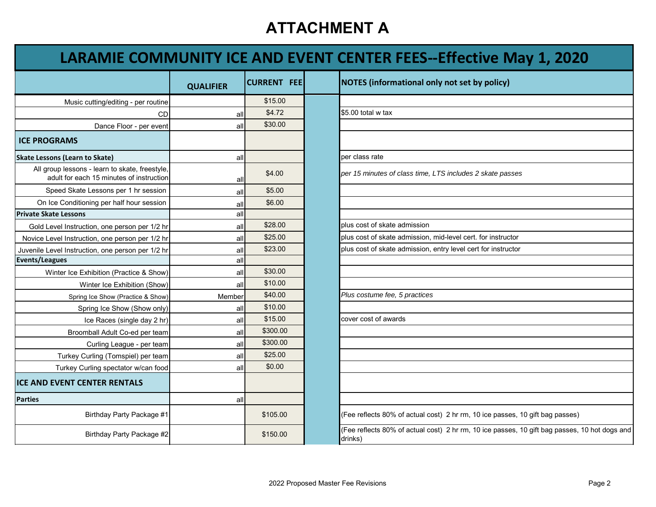## **LARAMIE COMMUNITY ICE AND EVENT CENTER FEES‐‐Effective May 1, 2020**

|                                                                                            | <b>QUALIFIER</b> | <b>CURRENT FEE</b> | <b>NOTES</b> (informational only not set by policy)                  |
|--------------------------------------------------------------------------------------------|------------------|--------------------|----------------------------------------------------------------------|
| Music cutting/editing - per routine                                                        |                  | \$15.00            |                                                                      |
| CD                                                                                         | all              | \$4.72             | $$5.00$ total w tax                                                  |
| Dance Floor - per event                                                                    | all              | \$30.00            |                                                                      |
| <b>ICE PROGRAMS</b>                                                                        |                  |                    |                                                                      |
| <b>Skate Lessons (Learn to Skate)</b>                                                      | all              |                    | per class rate                                                       |
| All group lessons - learn to skate, freestyle,<br>adult for each 15 minutes of instruction | all              | \$4.00             | per 15 minutes of class time, LTS includes 2 skate passe:            |
| Speed Skate Lessons per 1 hr session                                                       | all              | \$5.00             |                                                                      |
| On Ice Conditioning per half hour session                                                  | all              | \$6.00             |                                                                      |
| <b>Private Skate Lessons</b>                                                               | all              |                    |                                                                      |
| Gold Level Instruction, one person per 1/2 hr                                              | all              | \$28.00            | plus cost of skate admission                                         |
| Novice Level Instruction, one person per 1/2 hr                                            | all              | \$25.00            | plus cost of skate admission, mid-level cert. for instructor         |
| Juvenile Level Instruction, one person per 1/2 hr                                          | all              | \$23.00            | plus cost of skate admission, entry level cert for instructor        |
| Events/Leagues                                                                             | all              |                    |                                                                      |
| Winter Ice Exhibition (Practice & Show)                                                    | all              | \$30.00            |                                                                      |
| Winter Ice Exhibition (Show)                                                               | all              | \$10.00            |                                                                      |
| Spring Ice Show (Practice & Show)                                                          | Member           | \$40.00            | Plus costume fee, 5 practices                                        |
| Spring Ice Show (Show only)                                                                | all              | \$10.00            |                                                                      |
| Ice Races (single day 2 hr)                                                                | all              | \$15.00            | cover cost of awards                                                 |
| Broomball Adult Co-ed per team                                                             | all              | \$300.00           |                                                                      |
| Curling League - per team                                                                  | all              | \$300.00           |                                                                      |
| Turkey Curling (Tomspiel) per team                                                         | all              | \$25.00            |                                                                      |
| Turkey Curling spectator w/can food                                                        | all              | \$0.00             |                                                                      |
| ICE AND EVENT CENTER RENTALS                                                               |                  |                    |                                                                      |
| <b>Parties</b>                                                                             | all              |                    |                                                                      |
| Birthday Party Package #1                                                                  |                  | \$105.00           | (Fee reflects 80% of actual cost) 2 hr rm, 10 ice passes,            |
| Birthday Party Package #2                                                                  |                  | \$150.00           | (Fee reflects 80% of actual cost) 2 hr rm, 10 ice passes,<br>drinks) |

|                                                               | <b>QUALIFIER</b> | <b>CURRENT FEE</b> | <b>NOTES (informational only not set by policy)</b>                                                      |
|---------------------------------------------------------------|------------------|--------------------|----------------------------------------------------------------------------------------------------------|
| cutting/editing - per routine                                 |                  | \$15.00            |                                                                                                          |
| CD                                                            | all              | \$4.72             | \$5.00 total w tax                                                                                       |
| Dance Floor - per event                                       | all              | \$30.00            |                                                                                                          |
|                                                               |                  |                    |                                                                                                          |
| to Skate)                                                     | all              |                    | per class rate                                                                                           |
| s - learn to skate, freestyle,<br>h 15 minutes of instruction | all              | \$4.00             | per 15 minutes of class time, LTS includes 2 skate passes                                                |
| Lessons per 1 hr session                                      | all              | \$5.00             |                                                                                                          |
| ning per half hour session                                    | all              | \$6.00             |                                                                                                          |
|                                                               | all              |                    |                                                                                                          |
| tion, one person per 1/2 hr                                   | all              | \$28.00            | plus cost of skate admission                                                                             |
| tion, one person per 1/2 hr                                   | all              | \$25.00            | plus cost of skate admission, mid-level cert. for instructor                                             |
| tion, one person per 1/2 hr                                   | all              | \$23.00            | plus cost of skate admission, entry level cert for instructor                                            |
|                                                               | all              |                    |                                                                                                          |
| chibition (Practice & Show)                                   | all              | \$30.00            |                                                                                                          |
| inter Ice Exhibition (Show)                                   | all              | \$10.00            |                                                                                                          |
| I Ice Show (Practice & Show)                                  | Member           | \$40.00            | Plus costume fee, 5 practices                                                                            |
| ring Ice Show (Show only)                                     | all              | \$10.00            |                                                                                                          |
| ce Races (single day 2 hr)                                    | all              | \$15.00            | cover cost of awards                                                                                     |
| nball Adult Co-ed per team                                    | all              | \$300.00           |                                                                                                          |
| Curling League - per team                                     | all              | \$300.00           |                                                                                                          |
| urling (Tomspiel) per team                                    | all              | \$25.00            |                                                                                                          |
| urling spectator w/can food                                   | all              | \$0.00             |                                                                                                          |
| <b>NTER RENTALS</b>                                           |                  |                    |                                                                                                          |
|                                                               | all              |                    |                                                                                                          |
| Birthday Party Package #1                                     |                  | \$105.00           | (Fee reflects 80% of actual cost) 2 hr rm, 10 ice passes, 10 gift bag passes)                            |
| Birthday Party Package #2                                     |                  | \$150.00           | (Fee reflects 80% of actual cost) 2 hr rm, 10 ice passes, 10 gift bag passes, 10 hot dogs and<br>drinks) |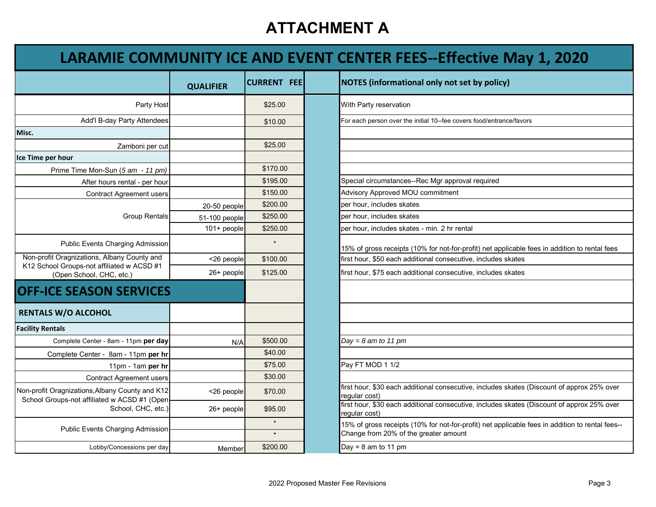## **LARAMIE COMMUNITY ICE AND EVENT CENTER FEES‐‐Effective May 1, 2020**

|                                                                                                 | <b>QUALIFIER</b> | <b>CURRENT FEE</b> | <b>NOTES (informational only not set by policy)</b>                               |
|-------------------------------------------------------------------------------------------------|------------------|--------------------|-----------------------------------------------------------------------------------|
| Party Host                                                                                      |                  | \$25.00            | With Party reservation                                                            |
| Add'l B-day Party Attendees                                                                     |                  | \$10.00            | For each person over the initial 10--fee covers food/entrance/favors              |
| Misc.                                                                                           |                  |                    |                                                                                   |
| Zamboni per cut                                                                                 |                  | \$25.00            |                                                                                   |
| Ice Time per hour                                                                               |                  |                    |                                                                                   |
| Prime Time Mon-Sun (5 am - 11 pm)                                                               |                  | \$170.00           |                                                                                   |
| After hours rental - per hour                                                                   |                  | \$195.00           | Special circumstances--Rec Mgr approval required                                  |
| <b>Contract Agreement users</b>                                                                 |                  | \$150.00           | Advisory Approved MOU commitment                                                  |
|                                                                                                 | 20-50 people     | \$200.00           | per hour, includes skates                                                         |
| <b>Group Rentals</b>                                                                            | 51-100 people    | \$250.00           | per hour, includes skates                                                         |
|                                                                                                 | $101+$ people    | \$250.00           | per hour, includes skates - min. 2 hr rental                                      |
| <b>Public Events Charging Admission</b>                                                         |                  | $\star$            | 15% of gross receipts (10% for not-for-profit) net applicable fe                  |
| Non-profit Oragnizations, Albany County and                                                     | <26 people       | \$100.00           | first hour, \$50 each additional consecutive, includes skates                     |
| K12 School Groups-not affiliated w ACSD #1<br>(Open School, CHC, etc.)                          | 26+ people       | \$125.00           | first hour, \$75 each additional consecutive, includes skates                     |
| <b>OFF-ICE SEASON SERVICES</b>                                                                  |                  |                    |                                                                                   |
| <b>RENTALS W/O ALCOHOL</b>                                                                      |                  |                    |                                                                                   |
| <b>Facility Rentals</b>                                                                         |                  |                    |                                                                                   |
| Complete Center - 8am - 11pm per day                                                            | N/A              | \$500.00           | $Day = 8$ am to 11 pm                                                             |
| Complete Center - 8am - 11pm per hr                                                             |                  | \$40.00            |                                                                                   |
| 11pm - 1am per hr                                                                               |                  | \$75.00            | Pay FT MOD 1 1/2                                                                  |
| <b>Contract Agreement users</b>                                                                 |                  | \$30.00            |                                                                                   |
| Non-profit Oragnizations, Albany County and K12<br>School Groups-not affiliated w ACSD #1 (Open | <26 people       | \$70.00            | first hour, \$30 each additional consecutive, includes skates (I<br>regular cost) |
| School, CHC, etc.)                                                                              | 26+ people       | \$95.00            | first hour, \$30 each additional consecutive, includes skates (I<br>regular cost) |
| <b>Public Events Charging Admission</b>                                                         |                  | $\star$            | 15% of gross receipts (10% for not-for-profit) net applicable fe                  |
|                                                                                                 |                  | $\star$            | Change from 20% of the greater amount                                             |
| Lobby/Concessions per day                                                                       | Member           | \$200.00           | Day = $8$ am to 11 pm                                                             |

|                                                                        | <b>QUALIFIER</b> | <b>CURRENT FEE</b> | <b>NOTES</b> (informational only not set by policy)                                                         |
|------------------------------------------------------------------------|------------------|--------------------|-------------------------------------------------------------------------------------------------------------|
| Party Host                                                             |                  | \$25.00            | With Party reservation                                                                                      |
| Add'l B-day Party Attendees                                            |                  | \$10.00            | For each person over the initial 10--fee covers food/entrance/favors                                        |
|                                                                        |                  |                    |                                                                                                             |
| Zamboni per cut                                                        |                  | \$25.00            |                                                                                                             |
| our                                                                    |                  |                    |                                                                                                             |
| ne Time Mon-Sun (5 am - 11 pm)                                         |                  | \$170.00           |                                                                                                             |
| After hours rental - per hour                                          |                  | \$195.00           | Special circumstances--Rec Mgr approval required                                                            |
| <b>Contract Agreement users</b>                                        |                  | \$150.00           | Advisory Approved MOU commitment                                                                            |
|                                                                        | 20-50 people     | \$200.00           | per hour, includes skates                                                                                   |
| <b>Group Rentals</b>                                                   | 51-100 people    | \$250.00           | per hour, includes skates                                                                                   |
|                                                                        | $101 + people$   | \$250.00           | per hour, includes skates - min. 2 hr rental                                                                |
| Public Events Charging Admission                                       |                  | $\star$            | 15% of gross receipts (10% for not-for-profit) net applicable fees in addition to rental fees               |
| ragnizations, Albany County and                                        | <26 people       | \$100.00           | first hour, \$50 each additional consecutive, includes skates                                               |
| Groups-not affiliated w ACSD #1<br>pen School, CHC, etc.)              | 26+ people       | \$125.00           | first hour, \$75 each additional consecutive, includes skates                                               |
| <b>SEASON SERVICES</b>                                                 |                  |                    |                                                                                                             |
| //O ALCOHOL                                                            |                  |                    |                                                                                                             |
|                                                                        |                  |                    |                                                                                                             |
| mplete Center - 8am - 11pm per day                                     | N/A              | \$500.00           | $Day = 8$ am to 11 pm                                                                                       |
| plete Center - 8am - 11pm per hr                                       |                  | \$40.00            |                                                                                                             |
| 11pm - 1am per hr                                                      |                  | \$75.00            | Pay FT MOD 1 1/2                                                                                            |
| <b>Contract Agreement users</b>                                        |                  | \$30.00            |                                                                                                             |
| gnizations, Albany County and K12<br>ps-not affiliated w ACSD #1 (Open | <26 people       | \$70.00            | first hour, \$30 each additional consecutive, includes skates (Discount of approx 25% over<br>reqular cost) |
| School, CHC, etc.)                                                     | 26+ people       | \$95.00            | first hour, \$30 each additional consecutive, includes skates (Discount of approx 25% over<br>regular cost) |
| <b>Public Events Charging Admission</b>                                |                  | $\star$            | 15% of gross receipts (10% for not-for-profit) net applicable fees in addition to rental fees--             |
|                                                                        |                  | $\star$            | Change from 20% of the greater amount                                                                       |
| Lobby/Concessions per day                                              | Member           | \$200.00           | Day = $8$ am to 11 pm                                                                                       |
|                                                                        |                  |                    |                                                                                                             |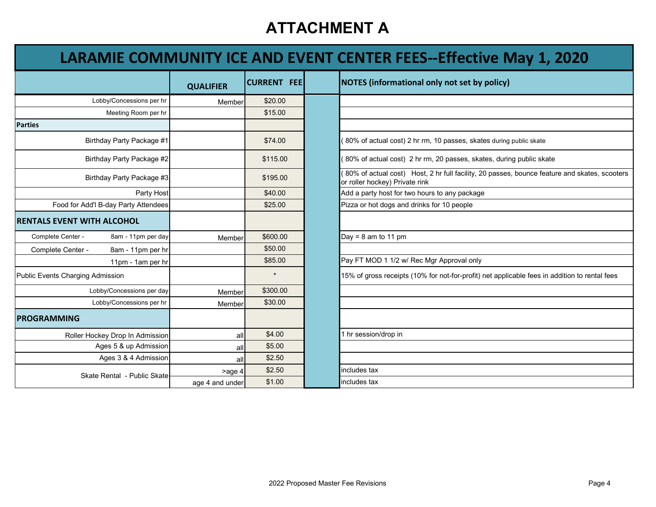## **LARAMIE COMMUNITY ICE AND EVENT CENTER FEES‐‐Effective May 1, 2020**

|                                         | <b>QUALIFIER</b> | <b>CURRENT FEE</b> | <b>NOTES (informational only not set by policy)</b>                 |                                                                                               |
|-----------------------------------------|------------------|--------------------|---------------------------------------------------------------------|-----------------------------------------------------------------------------------------------|
| Lobby/Concessions per hr                | Member           | \$20.00            |                                                                     |                                                                                               |
| Meeting Room per hr                     |                  | \$15.00            |                                                                     |                                                                                               |
| <b>Parties</b>                          |                  |                    |                                                                     |                                                                                               |
| Birthday Party Package #1               |                  | \$74.00            | 80% of actual cost) 2 hr rm, 10 passes, skates during public skate  |                                                                                               |
| Birthday Party Package #2               |                  | \$115.00           | 80% of actual cost) 2 hr rm, 20 passes, skates, during public skate |                                                                                               |
| Birthday Party Package #3               |                  | \$195.00           | or roller hockey) Private rink                                      | 80% of actual cost) Host, 2 hr full facility, 20 passes, bounce feature and skates, scoo      |
| Party Host                              |                  | \$40.00            | Add a party host for two hours to any package                       |                                                                                               |
| Food for Add'l B-day Party Attendees    |                  | \$25.00            | Pizza or hot dogs and drinks for 10 people                          |                                                                                               |
| <b>RENTALS EVENT WITH ALCOHOL</b>       |                  |                    |                                                                     |                                                                                               |
| Complete Center -<br>8am - 11pm per day | Member           | \$600.00           | Day = $8$ am to 11 pm                                               |                                                                                               |
| Complete Center -<br>8am - 11pm per hr  |                  | \$50.00            |                                                                     |                                                                                               |
| 11pm - 1am per hr                       |                  | \$85.00            | Pay FT MOD 1 1/2 w/ Rec Mgr Approval only                           |                                                                                               |
| Public Events Charging Admission        |                  | $\star$            |                                                                     | 15% of gross receipts (10% for not-for-profit) net applicable fees in addition to rental fees |
| Lobby/Concessions per day               | Member           | \$300.00           |                                                                     |                                                                                               |
| Lobby/Concessions per hr                | Member           | \$30.00            |                                                                     |                                                                                               |
| <b>PROGRAMMING</b>                      |                  |                    |                                                                     |                                                                                               |
| Roller Hockey Drop In Admission         | all              | \$4.00             | hr session/drop in                                                  |                                                                                               |
| Ages 5 & up Admission                   | all              | \$5.00             |                                                                     |                                                                                               |
| Ages 3 & 4 Admission                    | all              | \$2.50             |                                                                     |                                                                                               |
| Skate Rental - Public Skate             | >age 4           | \$2.50             | includes tax                                                        |                                                                                               |
|                                         | age 4 and under  | \$1.00             | includes tax                                                        |                                                                                               |

|                            | <b>QUALIFIER</b> | <b>CURRENT FEE</b> | <b>NOTES (informational only not set by policy)</b>                                                                            |
|----------------------------|------------------|--------------------|--------------------------------------------------------------------------------------------------------------------------------|
| Lobby/Concessions per hr   | Member           | \$20.00            |                                                                                                                                |
| Meeting Room per hr        |                  | \$15.00            |                                                                                                                                |
|                            |                  |                    |                                                                                                                                |
| Birthday Party Package #1  |                  | \$74.00            | 80% of actual cost) 2 hr rm, 10 passes, skates during public skate                                                             |
| Birthday Party Package #2  |                  | \$115.00           | 80% of actual cost) 2 hr rm, 20 passes, skates, during public skate                                                            |
| Birthday Party Package #3  |                  | \$195.00           | 80% of actual cost) Host, 2 hr full facility, 20 passes, bounce feature and skates, scooters<br>or roller hockey) Private rink |
| Party Host                 |                  | \$40.00            | Add a party host for two hours to any package                                                                                  |
| dd'l B-day Party Attendees |                  | \$25.00            | Pizza or hot dogs and drinks for 10 people                                                                                     |
| <b>/ITH ALCOHOL</b>        |                  |                    |                                                                                                                                |
| 8am - 11pm per day         | Member           | \$600.00           | Day = $8$ am to 11 pm                                                                                                          |
| 8am - 11pm per hr          |                  | \$50.00            |                                                                                                                                |
| 11pm - 1am per hr          |                  | \$85.00            | Pay FT MOD 1 1/2 w/ Rec Mgr Approval only                                                                                      |
| g Admission                |                  | $\star$            | 15% of gross receipts (10% for not-for-profit) net applicable fees in addition to rental fees                                  |
| Lobby/Concessions per day  | Member           | \$300.00           |                                                                                                                                |
| Lobby/Concessions per hr   | Member           | \$30.00            |                                                                                                                                |
|                            |                  |                    |                                                                                                                                |
| Hockey Drop In Admission   | all              | \$4.00             | 1 hr session/drop in                                                                                                           |
| Ages 5 & up Admission      | all              | \$5.00             |                                                                                                                                |
| Ages 3 & 4 Admission       | all              | \$2.50             |                                                                                                                                |
| kate Rental - Public Skate | >age 4           | \$2.50             | includes tax                                                                                                                   |
|                            | age 4 and under  | \$1.00             | includes tax                                                                                                                   |